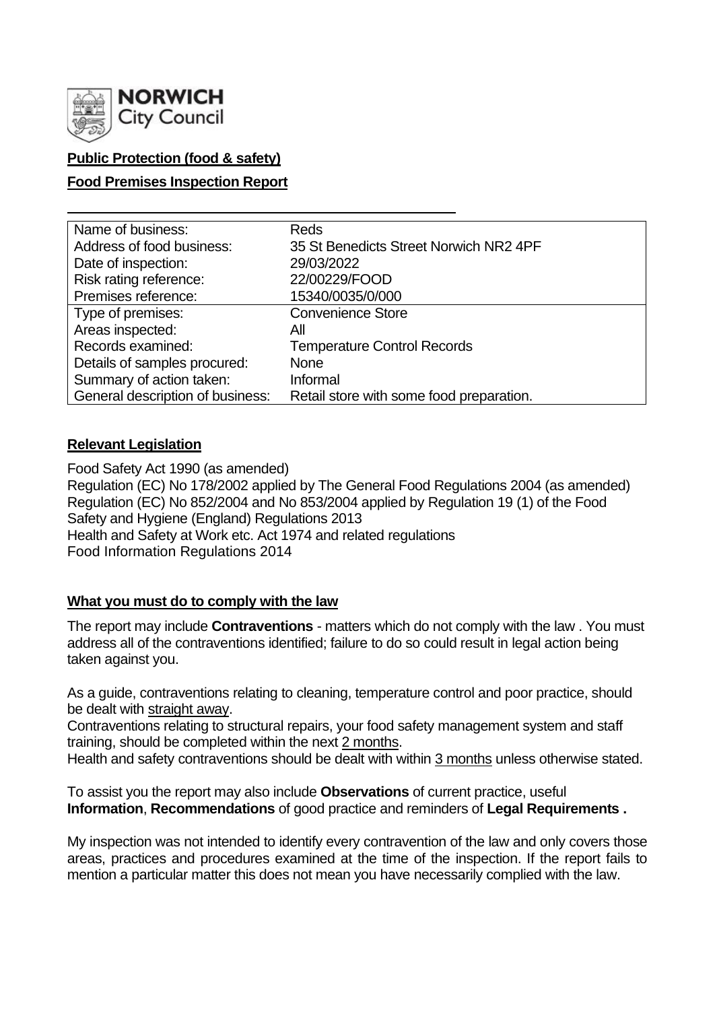

## **Public Protection (food & safety)**

### **Food Premises Inspection Report**

| Name of business:                | <b>Reds</b>                              |
|----------------------------------|------------------------------------------|
| Address of food business:        | 35 St Benedicts Street Norwich NR2 4PF   |
| Date of inspection:              | 29/03/2022                               |
| Risk rating reference:           | 22/00229/FOOD                            |
| Premises reference:              | 15340/0035/0/000                         |
| Type of premises:                | <b>Convenience Store</b>                 |
| Areas inspected:                 | Αll                                      |
| Records examined:                | <b>Temperature Control Records</b>       |
| Details of samples procured:     | <b>None</b>                              |
| Summary of action taken:         | Informal                                 |
| General description of business: | Retail store with some food preparation. |

#### **Relevant Legislation**

Food Safety Act 1990 (as amended) Regulation (EC) No 178/2002 applied by The General Food Regulations 2004 (as amended) Regulation (EC) No 852/2004 and No 853/2004 applied by Regulation 19 (1) of the Food Safety and Hygiene (England) Regulations 2013 Health and Safety at Work etc. Act 1974 and related regulations Food Information Regulations 2014

#### **What you must do to comply with the law**

The report may include **Contraventions** - matters which do not comply with the law . You must address all of the contraventions identified; failure to do so could result in legal action being taken against you.

As a guide, contraventions relating to cleaning, temperature control and poor practice, should be dealt with straight away.

Contraventions relating to structural repairs, your food safety management system and staff training, should be completed within the next 2 months.

Health and safety contraventions should be dealt with within 3 months unless otherwise stated.

To assist you the report may also include **Observations** of current practice, useful **Information**, **Recommendations** of good practice and reminders of **Legal Requirements .**

My inspection was not intended to identify every contravention of the law and only covers those areas, practices and procedures examined at the time of the inspection. If the report fails to mention a particular matter this does not mean you have necessarily complied with the law.